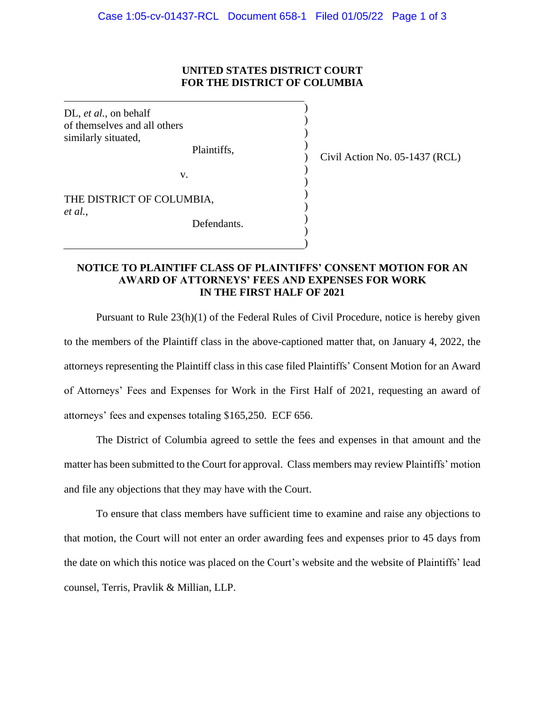## **UNITED STATES DISTRICT COURT FOR THE DISTRICT OF COLUMBIA**

) ) ) )  $\mathcal{L}$ ) ) ) ) ) ) )

DL, *et al.*, on behalf of themselves and all others similarly situated,

Plaintiffs,

Civil Action No. 05-1437 (RCL)

THE DISTRICT OF COLUMBIA, *et al.*,

Defendants.

v.

## **NOTICE TO PLAINTIFF CLASS OF PLAINTIFFS' CONSENT MOTION FOR AN AWARD OF ATTORNEYS' FEES AND EXPENSES FOR WORK IN THE FIRST HALF OF 2021**

Pursuant to Rule 23(h)(1) of the Federal Rules of Civil Procedure, notice is hereby given to the members of the Plaintiff class in the above-captioned matter that, on January 4, 2022, the attorneys representing the Plaintiff class in this case filed Plaintiffs' Consent Motion for an Award of Attorneys' Fees and Expenses for Work in the First Half of 2021, requesting an award of attorneys' fees and expenses totaling \$165,250. ECF 656.

The District of Columbia agreed to settle the fees and expenses in that amount and the matter has been submitted to the Court for approval. Class members may review Plaintiffs' motion and file any objections that they may have with the Court.

To ensure that class members have sufficient time to examine and raise any objections to that motion, the Court will not enter an order awarding fees and expenses prior to 45 days from the date on which this notice was placed on the Court's website and the website of Plaintiffs' lead counsel, Terris, Pravlik & Millian, LLP.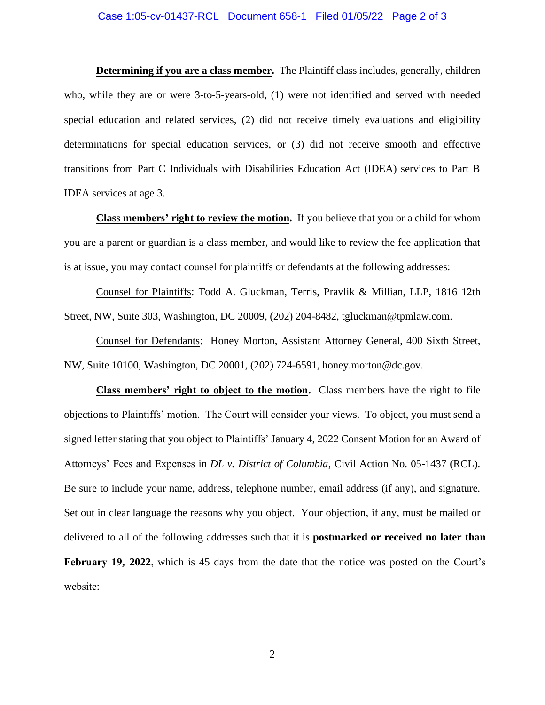## Case 1:05-cv-01437-RCL Document 658-1 Filed 01/05/22 Page 2 of 3

**Determining if you are a class member.** The Plaintiff class includes, generally, children who, while they are or were 3-to-5-years-old, (1) were not identified and served with needed special education and related services, (2) did not receive timely evaluations and eligibility determinations for special education services, or (3) did not receive smooth and effective transitions from Part C Individuals with Disabilities Education Act (IDEA) services to Part B IDEA services at age 3.

**Class members' right to review the motion.** If you believe that you or a child for whom you are a parent or guardian is a class member, and would like to review the fee application that is at issue, you may contact counsel for plaintiffs or defendants at the following addresses:

Counsel for Plaintiffs: Todd A. Gluckman, Terris, Pravlik & Millian, LLP, 1816 12th Street, NW, Suite 303, Washington, DC 20009, (202) 204-8482, tgluckman@tpmlaw.com.

Counsel for Defendants: Honey Morton, Assistant Attorney General, 400 Sixth Street, NW, Suite 10100, Washington, DC 20001, (202) 724-6591, honey.morton@dc.gov.

**Class members' right to object to the motion.** Class members have the right to file objections to Plaintiffs' motion. The Court will consider your views. To object, you must send a signed letter stating that you object to Plaintiffs' January 4, 2022 Consent Motion for an Award of Attorneys' Fees and Expenses in *DL v. District of Columbia*, Civil Action No. 05-1437 (RCL). Be sure to include your name, address, telephone number, email address (if any), and signature. Set out in clear language the reasons why you object. Your objection, if any, must be mailed or delivered to all of the following addresses such that it is **postmarked or received no later than February 19, 2022**, which is 45 days from the date that the notice was posted on the Court's website: